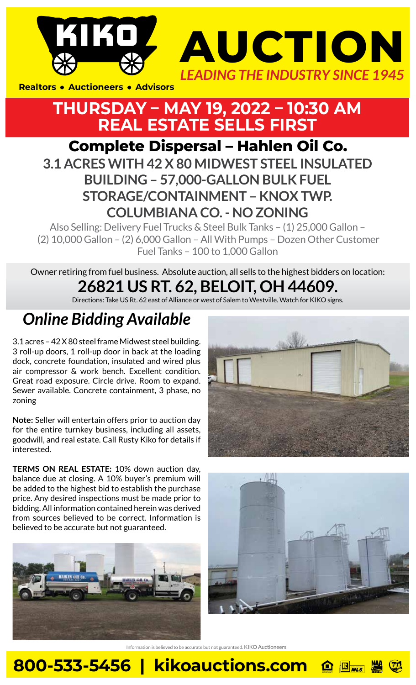



**Realtors • Auctioneers • Advisors** 



 (2) 10,000 Gallon – (2) 6,000 Gallon – All With Pumps – Dozen Other Customer Fuel Tanks – 100 to 1,000 Gallon

Owner retiring from fuel business. Absolute auction, all sells to the highest bidders on location: **26821 US RT. 62, BELOIT, OH 44609.** 

Directions: Take US Rt. 62 east of Alliance or west of Salem to Westville. Watch for KIKO signs.

## *Online Bidding Available*

3.1 acres – 42 X 80 steel frame Midwest steel building. 3 roll-up doors, 1 roll-up door in back at the loading dock, concrete foundation, insulated and wired plus air compressor & work bench. Excellent condition. Great road exposure. Circle drive. Room to expand. Sewer available. Concrete containment, 3 phase, no zoning

**Note:** Seller will entertain offers prior to auction day for the entire turnkey business, including all assets, goodwill, and real estate. Call Rusty Kiko for details if interested.

**TERMS ON REAL ESTATE:** 10% down auction day, balance due at closing. A 10% buyer's premium will be added to the highest bid to establish the purchase price. Any desired inspections must be made prior to bidding. All information contained herein was derived from sources believed to be correct. Information is believed to be accurate but not guaranteed.







Information is believed to be accurate but not guaranteed. KIKO Auctioneers

## **800-533-5456 | kikoauctions.com**